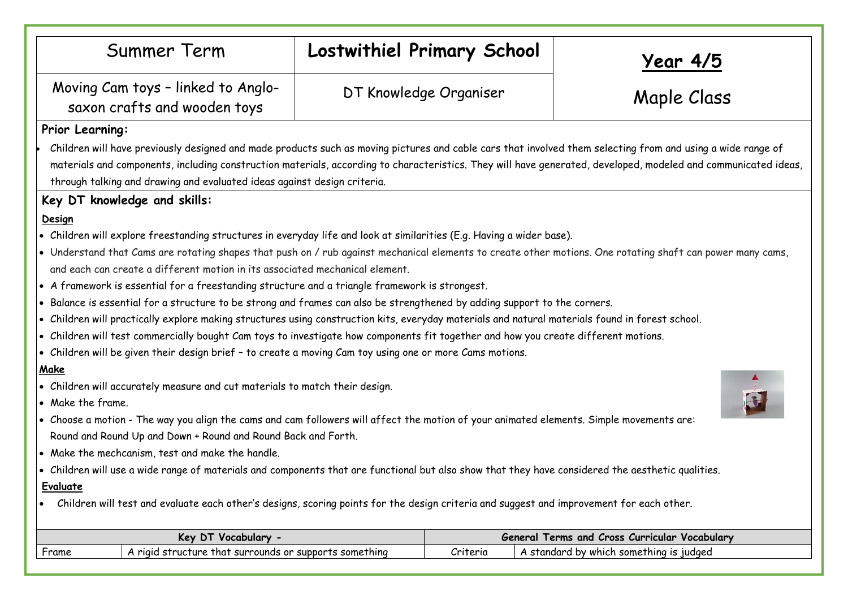|                                                                                                                                                                                                                                                                                                                                                                                                                                                                                                                                                                                                                                                                                                                                                                                                                                                                                                                                                                                                                                                                                                                                                                                                                                                                                                                                                                                                                                                                                                                                                     | Summer Term                                                        | Lostwithiel Primary School |                                               | <u>Year 4/5</u>                         |  |  |  |
|-----------------------------------------------------------------------------------------------------------------------------------------------------------------------------------------------------------------------------------------------------------------------------------------------------------------------------------------------------------------------------------------------------------------------------------------------------------------------------------------------------------------------------------------------------------------------------------------------------------------------------------------------------------------------------------------------------------------------------------------------------------------------------------------------------------------------------------------------------------------------------------------------------------------------------------------------------------------------------------------------------------------------------------------------------------------------------------------------------------------------------------------------------------------------------------------------------------------------------------------------------------------------------------------------------------------------------------------------------------------------------------------------------------------------------------------------------------------------------------------------------------------------------------------------------|--------------------------------------------------------------------|----------------------------|-----------------------------------------------|-----------------------------------------|--|--|--|
|                                                                                                                                                                                                                                                                                                                                                                                                                                                                                                                                                                                                                                                                                                                                                                                                                                                                                                                                                                                                                                                                                                                                                                                                                                                                                                                                                                                                                                                                                                                                                     | Moving Cam toys - linked to Anglo-<br>saxon crafts and wooden toys | DT Knowledge Organiser     |                                               | Maple Class                             |  |  |  |
| Prior Learning:                                                                                                                                                                                                                                                                                                                                                                                                                                                                                                                                                                                                                                                                                                                                                                                                                                                                                                                                                                                                                                                                                                                                                                                                                                                                                                                                                                                                                                                                                                                                     |                                                                    |                            |                                               |                                         |  |  |  |
| Children will have previously designed and made products such as moving pictures and cable cars that involved them selecting from and using a wide range of<br>materials and components, including construction materials, according to characteristics. They will have generated, developed, modeled and communicated ideas,<br>through talking and drawing and evaluated ideas against design criteria.                                                                                                                                                                                                                                                                                                                                                                                                                                                                                                                                                                                                                                                                                                                                                                                                                                                                                                                                                                                                                                                                                                                                           |                                                                    |                            |                                               |                                         |  |  |  |
| Key DT knowledge and skills:                                                                                                                                                                                                                                                                                                                                                                                                                                                                                                                                                                                                                                                                                                                                                                                                                                                                                                                                                                                                                                                                                                                                                                                                                                                                                                                                                                                                                                                                                                                        |                                                                    |                            |                                               |                                         |  |  |  |
| Design<br>• Children will explore freestanding structures in everyday life and look at similarities (E.g. Having a wider base).<br>. Understand that Cams are rotating shapes that push on / rub against mechanical elements to create other motions. One rotating shaft can power many cams,<br>and each can create a different motion in its associated mechanical element.<br>• A framework is essential for a freestanding structure and a triangle framework is strongest.<br>. Balance is essential for a structure to be strong and frames can also be strengthened by adding support to the corners.<br>. Children will practically explore making structures using construction kits, everyday materials and natural materials found in forest school.<br>. Children will test commercially bought Cam toys to investigate how components fit together and how you create different motions.<br>. Children will be given their design brief - to create a moving Cam toy using one or more Cams motions.<br>Make<br>• Children will accurately measure and cut materials to match their design.<br>• Make the frame.<br>. Choose a motion - The way you align the cams and cam followers will affect the motion of your animated elements. Simple movements are:<br>Round and Round Up and Down + Round and Round Back and Forth.<br>• Make the mechcanism, test and make the handle.<br>. Children will use a wide range of materials and components that are functional but also show that they have considered the aesthetic qualities. |                                                                    |                            |                                               |                                         |  |  |  |
| <b>Evaluate</b>                                                                                                                                                                                                                                                                                                                                                                                                                                                                                                                                                                                                                                                                                                                                                                                                                                                                                                                                                                                                                                                                                                                                                                                                                                                                                                                                                                                                                                                                                                                                     |                                                                    |                            |                                               |                                         |  |  |  |
| Children will test and evaluate each other's designs, scoring points for the design criteria and suggest and improvement for each other.                                                                                                                                                                                                                                                                                                                                                                                                                                                                                                                                                                                                                                                                                                                                                                                                                                                                                                                                                                                                                                                                                                                                                                                                                                                                                                                                                                                                            |                                                                    |                            |                                               |                                         |  |  |  |
| Key DT Vocabulary -                                                                                                                                                                                                                                                                                                                                                                                                                                                                                                                                                                                                                                                                                                                                                                                                                                                                                                                                                                                                                                                                                                                                                                                                                                                                                                                                                                                                                                                                                                                                 |                                                                    |                            | General Terms and Cross Curricular Vocabulary |                                         |  |  |  |
| Frame                                                                                                                                                                                                                                                                                                                                                                                                                                                                                                                                                                                                                                                                                                                                                                                                                                                                                                                                                                                                                                                                                                                                                                                                                                                                                                                                                                                                                                                                                                                                               | A rigid structure that surrounds or supports something             |                            | Criteria                                      | A standard by which something is judged |  |  |  |